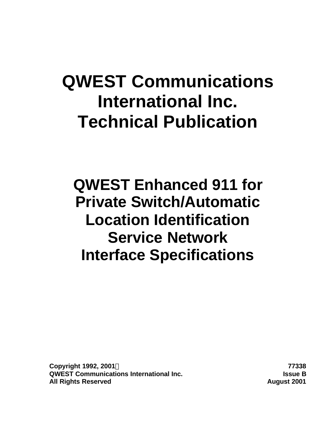# **QWEST Communications International Inc. Technical Publication**

**QWEST Enhanced 911 for Private Switch/Automatic Location Identification Service Network Interface Specifications**

**Copyright 1992, 2001Ó 77338 QWEST Communications International Inc. Issue B All Rights Reserved August 2001**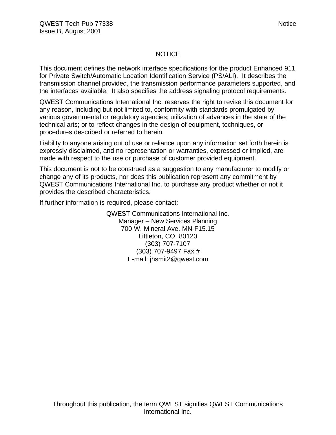#### NOTICE

This document defines the network interface specifications for the product Enhanced 911 for Private Switch/Automatic Location Identification Service (PS/ALI). It describes the transmission channel provided, the transmission performance parameters supported, and the interfaces available. It also specifies the address signaling protocol requirements.

QWEST Communications International Inc. reserves the right to revise this document for any reason, including but not limited to, conformity with standards promulgated by various governmental or regulatory agencies; utilization of advances in the state of the technical arts; or to reflect changes in the design of equipment, techniques, or procedures described or referred to herein.

Liability to anyone arising out of use or reliance upon any information set forth herein is expressly disclaimed, and no representation or warranties, expressed or implied, are made with respect to the use or purchase of customer provided equipment.

This document is not to be construed as a suggestion to any manufacturer to modify or change any of its products, nor does this publication represent any commitment by QWEST Communications International Inc. to purchase any product whether or not it provides the described characteristics.

If further information is required, please contact:

QWEST Communications International Inc. Manager – New Services Planning 700 W. Mineral Ave. MN-F15.15 Littleton, CO 80120 (303) 707-7107 (303) 707-9497 Fax # E-mail: jhsmit2@qwest.com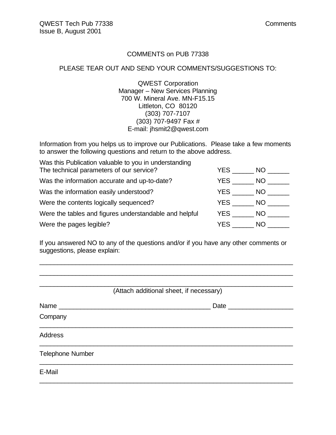#### COMMENTS on PUB 77338

#### PLEASE TEAR OUT AND SEND YOUR COMMENTS/SUGGESTIONS TO:

QWEST Corporation Manager – New Services Planning 700 W. Mineral Ave. MN-F15.15 Littleton, CO 80120 (303) 707-7107 (303) 707-9497 Fax # E-mail: jhsmit2@qwest.com

Information from you helps us to improve our Publications. Please take a few moments to answer the following questions and return to the above address.

| Was this Publication valuable to you in understanding  |      |      |
|--------------------------------------------------------|------|------|
| The technical parameters of our service?               | YES. | NO.  |
| Was the information accurate and up-to-date?           | YES. | NO.  |
| Was the information easily understood?                 | YES  | NO.  |
| Were the contents logically sequenced?                 | YES  | NO - |
| Were the tables and figures understandable and helpful | YES  | NO.  |
| Were the pages legible?                                | YES  | NO.  |

If you answered NO to any of the questions and/or if you have any other comments or suggestions, please explain:

\_\_\_\_\_\_\_\_\_\_\_\_\_\_\_\_\_\_\_\_\_\_\_\_\_\_\_\_\_\_\_\_\_\_\_\_\_\_\_\_\_\_\_\_\_\_\_\_\_\_\_\_\_\_\_\_\_\_\_\_\_\_\_\_\_\_\_\_\_\_ \_\_\_\_\_\_\_\_\_\_\_\_\_\_\_\_\_\_\_\_\_\_\_\_\_\_\_\_\_\_\_\_\_\_\_\_\_\_\_\_\_\_\_\_\_\_\_\_\_\_\_\_\_\_\_\_\_\_\_\_\_\_\_\_\_\_\_\_\_\_

|                         | (Attach additional sheet, if necessary) |
|-------------------------|-----------------------------------------|
|                         | Date ___________                        |
| Company                 |                                         |
| <b>Address</b>          |                                         |
| <b>Telephone Number</b> |                                         |
| E-Mail                  |                                         |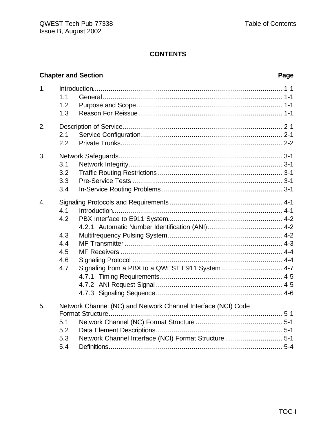# **Chapter and Section**

#### Page

| 1.               | 1.1<br>1.2<br>1.3                             |                                                                                                                       |
|------------------|-----------------------------------------------|-----------------------------------------------------------------------------------------------------------------------|
| 2.               | 2.1<br>2.2                                    |                                                                                                                       |
| 3.               | 3.1<br>3.2<br>3.3<br>3.4                      |                                                                                                                       |
| $\overline{4}$ . | 4.1<br>4.2<br>4.3<br>4.4<br>4.5<br>4.6<br>4.7 | Signaling from a PBX to a QWEST E911 System 4-7                                                                       |
| 5.               | 5.1<br>5.2<br>5.3<br>5.4                      | Network Channel (NC) and Network Channel Interface (NCI) Code<br>Network Channel Interface (NCI) Format Structure 5-1 |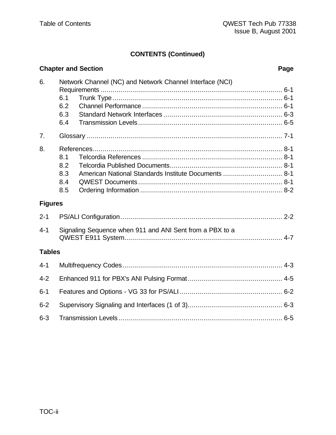# **CONTENTS (Continued)**

|                | <b>Chapter and Section</b>                                                              | Page |
|----------------|-----------------------------------------------------------------------------------------|------|
| 6.             | Network Channel (NC) and Network Channel Interface (NCI)<br>6.1<br>6.2<br>6.3<br>6.4    |      |
| 7.             |                                                                                         |      |
| 8.             | 8.1<br>8.2<br>American National Standards Institute Documents  8-1<br>8.3<br>8.4<br>8.5 |      |
| <b>Figures</b> |                                                                                         |      |
| $2 - 1$        |                                                                                         |      |
| $4 - 1$        | Signaling Sequence when 911 and ANI Sent from a PBX to a                                |      |
| <b>Tables</b>  |                                                                                         |      |
| $4 - 1$        |                                                                                         |      |
| $4 - 2$        |                                                                                         |      |
| $6 - 1$        |                                                                                         |      |
| $6 - 2$        |                                                                                         |      |
| $6 - 3$        |                                                                                         |      |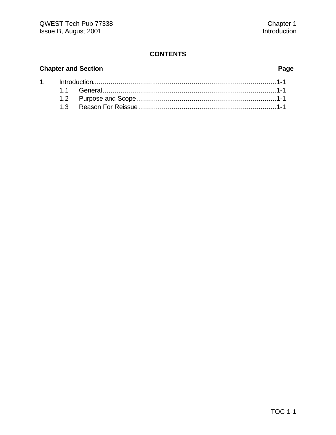# **Chapter and Section Page**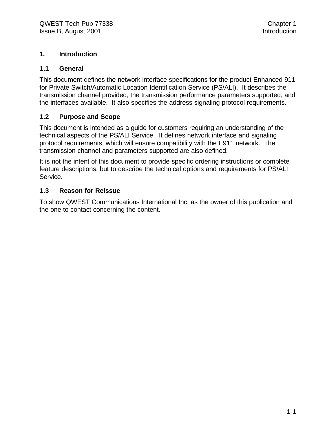#### **1. Introduction**

#### **1.1 General**

This document defines the network interface specifications for the product Enhanced 911 for Private Switch/Automatic Location Identification Service (PS/ALI). It describes the transmission channel provided, the transmission performance parameters supported, and the interfaces available. It also specifies the address signaling protocol requirements.

#### **1.2 Purpose and Scope**

This document is intended as a guide for customers requiring an understanding of the technical aspects of the PS/ALI Service. It defines network interface and signaling protocol requirements, which will ensure compatibility with the E911 network. The transmission channel and parameters supported are also defined.

It is not the intent of this document to provide specific ordering instructions or complete feature descriptions, but to describe the technical options and requirements for PS/ALI Service.

#### **1.3 Reason for Reissue**

To show QWEST Communications International Inc. as the owner of this publication and the one to contact concerning the content.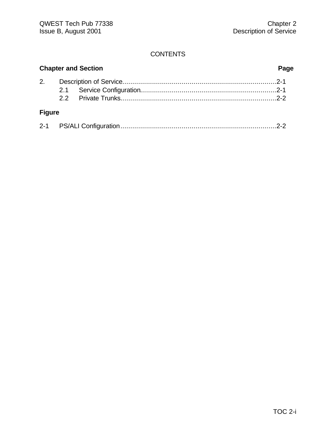| <b>Chapter and Section</b> |  |  | Page |
|----------------------------|--|--|------|
| 2.                         |  |  |      |
|                            |  |  |      |
|                            |  |  |      |
| <b>Figure</b>              |  |  |      |
|                            |  |  |      |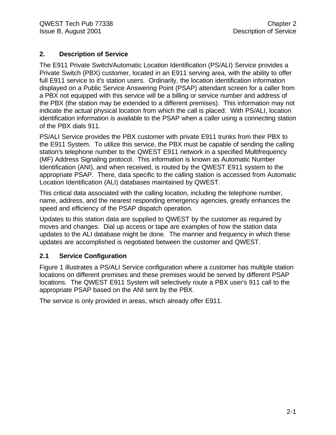#### **2. Description of Service**

The E911 Private Switch/Automatic Location Identification (PS/ALI) Service provides a Private Switch (PBX) customer, located in an E911 serving area, with the ability to offer full E911 service to it's station users. Ordinarily, the location identification information displayed on a Public Service Answering Point (PSAP) attendant screen for a caller from a PBX not equipped with this service will be a billing or service number and address of the PBX (the station may be extended to a different premises). This information may not indicate the actual physical location from which the call is placed. With PS/ALI, location identification information is available to the PSAP when a caller using a connecting station of the PBX dials 911.

PS/ALI Service provides the PBX customer with private E911 trunks from their PBX to the E911 System. To utilize this service, the PBX must be capable of sending the calling station's telephone number to the QWEST E911 network in a specified Multifrequency (MF) Address Signaling protocol. This information is known as Automatic Number Identification (ANI), and when received, is routed by the QWEST E911 system to the appropriate PSAP. There, data specific to the calling station is accessed from Automatic Location Identification (ALI) databases maintained by QWEST.

This critical data associated with the calling location, including the telephone number, name, address, and the nearest responding emergency agencies, greatly enhances the speed and efficiency of the PSAP dispatch operation.

Updates to this station data are supplied to QWEST by the customer as required by moves and changes. Dial up access or tape are examples of how the station data updates to the ALI database might be done. The manner and frequency in which these updates are accomplished is negotiated between the customer and QWEST.

#### **2.1 Service Configuration**

Figure 1 illustrates a PS/ALI Service configuration where a customer has multiple station locations on different premises and these premises would be served by different PSAP locations. The QWEST E911 System will selectively route a PBX user's 911 call to the appropriate PSAP based on the ANI sent by the PBX.

The service is only provided in areas, which already offer E911.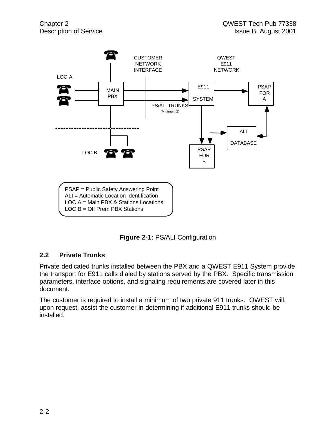

**Figure 2-1:** PS/ALI Configuration

#### **2.2 Private Trunks**

Private dedicated trunks installed between the PBX and a QWEST E911 System provide the transport for E911 calls dialed by stations served by the PBX. Specific transmission parameters, interface options, and signaling requirements are covered later in this document.

The customer is required to install a minimum of two private 911 trunks. QWEST will, upon request, assist the customer in determining if additional E911 trunks should be installed.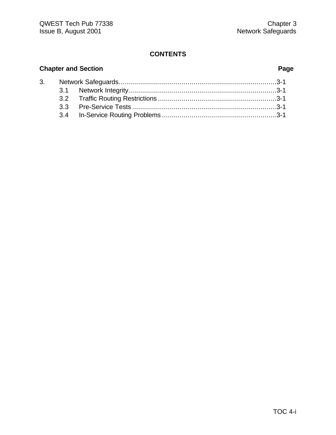# **Chapter and Section Page**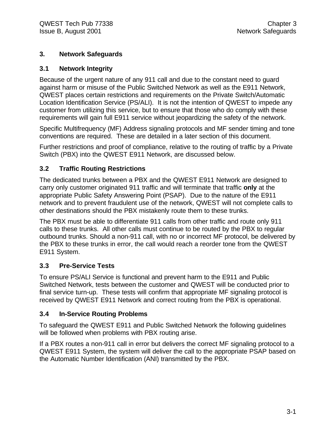#### **3. Network Safeguards**

#### **3.1 Network Integrity**

Because of the urgent nature of any 911 call and due to the constant need to guard against harm or misuse of the Public Switched Network as well as the E911 Network, QWEST places certain restrictions and requirements on the Private Switch/Automatic Location Identification Service (PS/ALI). It is not the intention of QWEST to impede any customer from utilizing this service, but to ensure that those who do comply with these requirements will gain full E911 service without jeopardizing the safety of the network.

Specific Multifrequency (MF) Address signaling protocols and MF sender timing and tone conventions are required. These are detailed in a later section of this document.

Further restrictions and proof of compliance, relative to the routing of traffic by a Private Switch (PBX) into the QWEST E911 Network, are discussed below.

#### **3.2 Traffic Routing Restrictions**

The dedicated trunks between a PBX and the QWEST E911 Network are designed to carry only customer originated 911 traffic and will terminate that traffic **only** at the appropriate Public Safety Answering Point (PSAP). Due to the nature of the E911 network and to prevent fraudulent use of the network, QWEST will not complete calls to other destinations should the PBX mistakenly route them to these trunks.

The PBX must be able to differentiate 911 calls from other traffic and route only 911 calls to these trunks. All other calls must continue to be routed by the PBX to regular outbound trunks. Should a non-911 call, with no or incorrect MF protocol, be delivered by the PBX to these trunks in error, the call would reach a reorder tone from the QWEST E911 System.

#### **3.3 Pre-Service Tests**

To ensure PS/ALI Service is functional and prevent harm to the E911 and Public Switched Network, tests between the customer and QWEST will be conducted prior to final service turn-up. These tests will confirm that appropriate MF signaling protocol is received by QWEST E911 Network and correct routing from the PBX is operational.

#### **3.4 In-Service Routing Problems**

To safeguard the QWEST E911 and Public Switched Network the following guidelines will be followed when problems with PBX routing arise.

If a PBX routes a non-911 call in error but delivers the correct MF signaling protocol to a QWEST E911 System, the system will deliver the call to the appropriate PSAP based on the Automatic Number Identification (ANI) transmitted by the PBX.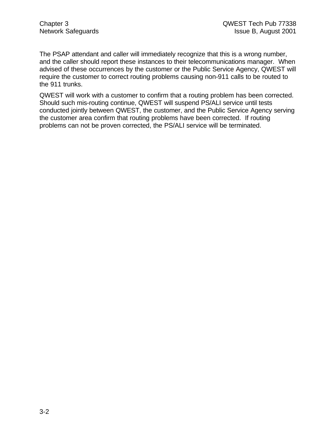The PSAP attendant and caller will immediately recognize that this is a wrong number, and the caller should report these instances to their telecommunications manager. When advised of these occurrences by the customer or the Public Service Agency, QWEST will require the customer to correct routing problems causing non-911 calls to be routed to the 911 trunks.

QWEST will work with a customer to confirm that a routing problem has been corrected. Should such mis-routing continue, QWEST will suspend PS/ALI service until tests conducted jointly between QWEST, the customer, and the Public Service Agency serving the customer area confirm that routing problems have been corrected. If routing problems can not be proven corrected, the PS/ALI service will be terminated.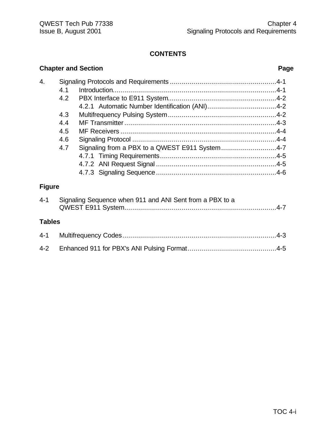|               | <b>Chapter and Section</b>                                                                      | Page |
|---------------|-------------------------------------------------------------------------------------------------|------|
| 4.            | 4.1<br>4.2<br>4.3<br>4.4<br>4.5<br>4.6<br>Signaling from a PBX to a QWEST E911 System4-7<br>4.7 |      |
| <b>Figure</b> |                                                                                                 |      |
| $4 - 1$       | Signaling Sequence when 911 and ANI Sent from a PBX to a                                        |      |
| <b>Tables</b> |                                                                                                 |      |
| $4 - 1$       |                                                                                                 |      |
| $4 - 2$       |                                                                                                 |      |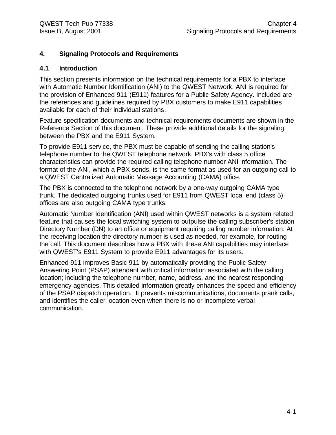#### **4. Signaling Protocols and Requirements**

#### **4.1 Introduction**

This section presents information on the technical requirements for a PBX to interface with Automatic Number Identification (ANI) to the QWEST Network. ANI is required for the provision of Enhanced 911 (E911) features for a Public Safety Agency. Included are the references and guidelines required by PBX customers to make E911 capabilities available for each of their individual stations.

Feature specification documents and technical requirements documents are shown in the Reference Section of this document. These provide additional details for the signaling between the PBX and the E911 System.

To provide E911 service, the PBX must be capable of sending the calling station's telephone number to the QWEST telephone network. PBX's with class 5 office characteristics can provide the required calling telephone number ANI information. The format of the ANI, which a PBX sends, is the same format as used for an outgoing call to a QWEST Centralized Automatic Message Accounting (CAMA) office.

The PBX is connected to the telephone network by a one-way outgoing CAMA type trunk. The dedicated outgoing trunks used for E911 from QWEST local end (class 5) offices are also outgoing CAMA type trunks.

Automatic Number Identification (ANI) used within QWEST networks is a system related feature that causes the local switching system to outpulse the calling subscriber's station Directory Number (DN) to an office or equipment requiring calling number information. At the receiving location the directory number is used as needed, for example, for routing the call. This document describes how a PBX with these ANI capabilities may interface with QWEST's E911 System to provide E911 advantages for its users.

Enhanced 911 improves Basic 911 by automatically providing the Public Safety Answering Point (PSAP) attendant with critical information associated with the calling location; including the telephone number, name, address, and the nearest responding emergency agencies. This detailed information greatly enhances the speed and efficiency of the PSAP dispatch operation. It prevents miscommunications, documents prank calls, and identifies the caller location even when there is no or incomplete verbal communication.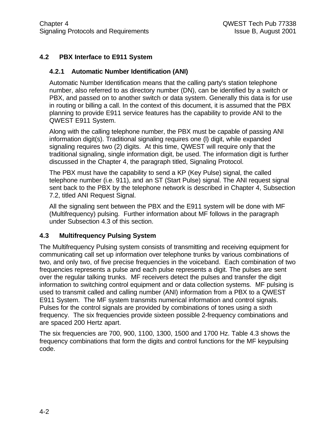### **4.2 PBX Interface to E911 System**

#### **4.2.1 Automatic Number Identification (ANI)**

Automatic Number Identification means that the calling party's station telephone number, also referred to as directory number (DN), can be identified by a switch or PBX, and passed on to another switch or data system. Generally this data is for use in routing or billing a call. In the context of this document, it is assumed that the PBX planning to provide E911 service features has the capability to provide ANI to the QWEST E911 System.

Along with the calling telephone number, the PBX must be capable of passing ANI information digit(s). Traditional signaling requires one (l) digit, while expanded signaling requires two (2) digits. At this time, QWEST will require only that the traditional signaling, single information digit, be used. The information digit is further discussed in the Chapter 4, the paragraph titled, Signaling Protocol.

The PBX must have the capability to send a KP (Key Pulse) signal, the called telephone number (i.e. 911), and an ST (Start Pulse) signal. The ANI request signal sent back to the PBX by the telephone network is described in Chapter 4, Subsection 7.2, titled ANI Request Signal.

All the signaling sent between the PBX and the E911 system will be done with MF (Multifrequency) pulsing. Further information about MF follows in the paragraph under Subsection 4.3 of this section.

#### **4.3 Multifrequency Pulsing System**

The Multifrequency Pulsing system consists of transmitting and receiving equipment for communicating call set up information over telephone trunks by various combinations of two, and only two, of five precise frequencies in the voiceband. Each combination of two frequencies represents a pulse and each pulse represents a digit. The pulses are sent over the regular talking trunks. MF receivers detect the pulses and transfer the digit information to switching control equipment and or data collection systems. MF pulsing is used to transmit called and calling number (ANI) information from a PBX to a QWEST E911 System. The MF system transmits numerical information and control signals. Pulses for the control signals are provided by combinations of tones using a sixth frequency. The six frequencies provide sixteen possible 2-frequency combinations and are spaced 200 Hertz apart.

The six frequencies are 700, 900, 1100, 1300, 1500 and 1700 Hz. Table 4.3 shows the frequency combinations that form the digits and control functions for the MF keypulsing code.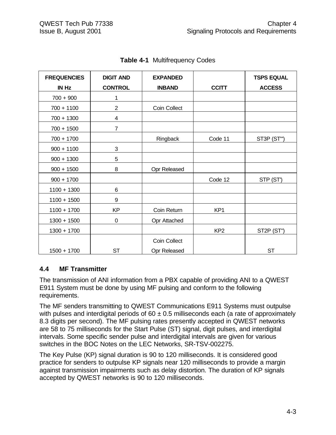| <b>FREQUENCIES</b> | <b>DIGIT AND</b> | <b>EXPANDED</b> |                 | <b>TSPS EQUAL</b> |
|--------------------|------------------|-----------------|-----------------|-------------------|
| <b>IN Hz</b>       | <b>CONTROL</b>   | <b>INBAND</b>   | <b>CCITT</b>    | <b>ACCESS</b>     |
| $700 + 900$        | 1                |                 |                 |                   |
| $700 + 1100$       | $\overline{2}$   | Coin Collect    |                 |                   |
| $700 + 1300$       | 4                |                 |                 |                   |
| $700 + 1500$       | 7                |                 |                 |                   |
| $700 + 1700$       |                  | Ringback        | Code 11         | ST3P (ST")        |
| $900 + 1100$       | 3                |                 |                 |                   |
| $900 + 1300$       | 5                |                 |                 |                   |
| $900 + 1500$       | 8                | Opr Released    |                 |                   |
| $900 + 1700$       |                  |                 | Code 12         | STP (ST')         |
| $1100 + 1300$      | 6                |                 |                 |                   |
| $1100 + 1500$      | 9                |                 |                 |                   |
| $1100 + 1700$      | <b>KP</b>        | Coin Return     | KP <sub>1</sub> |                   |
| $1300 + 1500$      | $\mathbf 0$      | Opr Attached    |                 |                   |
| $1300 + 1700$      |                  |                 | KP <sub>2</sub> | ST2P (ST")        |
|                    |                  | Coin Collect    |                 |                   |
| $1500 + 1700$      | <b>ST</b>        | Opr Released    |                 | <b>ST</b>         |

**Table 4-1** Multifrequency Codes

### **4.4 MF Transmitter**

The transmission of ANI information from a PBX capable of providing ANI to a QWEST E911 System must be done by using MF pulsing and conform to the following requirements.

The MF senders transmitting to QWEST Communications E911 Systems must outpulse with pulses and interdigital periods of  $60 \pm 0.5$  milliseconds each (a rate of approximately 8.3 digits per second). The MF pulsing rates presently accepted in QWEST networks are 58 to 75 milliseconds for the Start Pulse (ST) signal, digit pulses, and interdigital intervals. Some specific sender pulse and interdigital intervals are given for various switches in the BOC Notes on the LEC Networks, SR-TSV-002275.

The Key Pulse (KP) signal duration is 90 to 120 milliseconds. It is considered good practice for senders to outpulse KP signals near 120 milliseconds to provide a margin against transmission impairments such as delay distortion. The duration of KP signals accepted by QWEST networks is 90 to 120 milliseconds.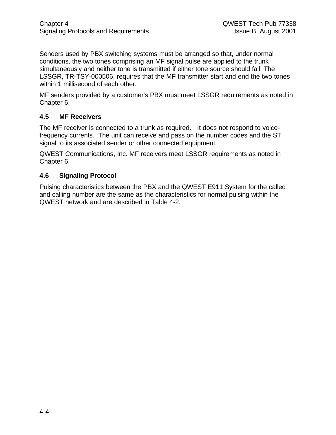Senders used by PBX switching systems must be arranged so that, under normal conditions, the two tones comprising an MF signal pulse are applied to the trunk simultaneously and neither tone is transmitted if either tone source should fail. The LSSGR, TR-TSY-000506, requires that the MF transmitter start and end the two tones within 1 millisecond of each other.

MF senders provided by a customer's PBX must meet LSSGR requirements as noted in Chapter 6.

#### **4.5 MF Receivers**

The MF receiver is connected to a trunk as required. It does not respond to voicefrequency currents. The unit can receive and pass on the number codes and the ST signal to its associated sender or other connected equipment.

QWEST Communications, Inc. MF receivers meet LSSGR requirements as noted in Chapter 6.

#### **4.6 Signaling Protocol**

Pulsing characteristics between the PBX and the QWEST E911 System for the called and calling number are the same as the characteristics for normal pulsing within the QWEST network and are described in Table 4-2.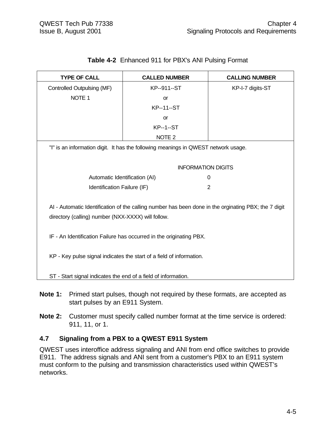| <b>TYPE OF CALL</b>                                                                                                                                        | <b>CALLED NUMBER</b>                                                               | <b>CALLING NUMBER</b> |
|------------------------------------------------------------------------------------------------------------------------------------------------------------|------------------------------------------------------------------------------------|-----------------------|
| Controlled Outpulsing (MF)                                                                                                                                 | KP--911--ST                                                                        | KP-I-7 digits-ST      |
| NOTE <sub>1</sub>                                                                                                                                          | <b>or</b>                                                                          |                       |
|                                                                                                                                                            | <b>KP--11--ST</b>                                                                  |                       |
|                                                                                                                                                            | <b>or</b>                                                                          |                       |
|                                                                                                                                                            | <b>KP--1--ST</b>                                                                   |                       |
|                                                                                                                                                            | NOTE <sub>2</sub>                                                                  |                       |
|                                                                                                                                                            | "I" is an information digit. It has the following meanings in QWEST network usage. |                       |
|                                                                                                                                                            |                                                                                    |                       |
|                                                                                                                                                            | <b>INFORMATION DIGITS</b>                                                          |                       |
| Automatic Identification (AI)                                                                                                                              |                                                                                    | 0                     |
| Identification Failure (IF)                                                                                                                                |                                                                                    | $\overline{2}$        |
| AI - Automatic Identification of the calling number has been done in the orginating PBX; the 7 digit<br>directory (calling) number (NXX-XXXX) will follow. |                                                                                    |                       |
|                                                                                                                                                            | IF - An Identification Failure has occurred in the originating PBX.                |                       |
| KP - Key pulse signal indicates the start of a field of information.                                                                                       |                                                                                    |                       |
| ST - Start signal indicates the end of a field of information.                                                                                             |                                                                                    |                       |

# **Table 4-2** Enhanced 911 for PBX's ANI Pulsing Format

- **Note 1:** Primed start pulses, though not required by these formats, are accepted as start pulses by an E911 System.
- **Note 2:** Customer must specify called number format at the time service is ordered: 911, 11, or 1.

### **4.7 Signaling from a PBX to a QWEST E911 System**

QWEST uses interoffice address signaling and ANI from end office switches to provide E911. The address signals and ANI sent from a customer's PBX to an E911 system must conform to the pulsing and transmission characteristics used within QWEST's networks.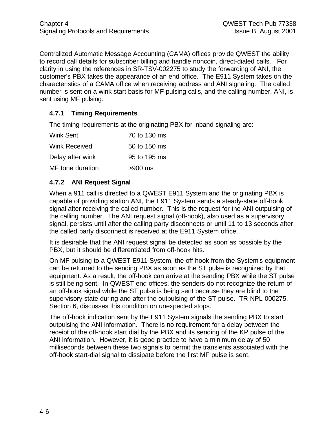Centralized Automatic Message Accounting (CAMA) offices provide QWEST the ability to record call details for subscriber billing and handle noncoin, direct-dialed calls. For clarity in using the references in SR-TSV-002275 to study the forwarding of ANI, the customer's PBX takes the appearance of an end office. The E911 System takes on the characteristics of a CAMA office when receiving address and ANI signaling. The called number is sent on a wink-start basis for MF pulsing calls, and the calling number, ANI, is sent using MF pulsing.

### **4.7.1 Timing Requirements**

The timing requirements at the originating PBX for inband signaling are:

| Wink Sent        | 70 to 130 ms |
|------------------|--------------|
| Wink Received    | 50 to 150 ms |
| Delay after wink | 95 to 195 ms |
| MF tone duration | >900 ms      |

### **4.7.2 ANI Request Signal**

When a 911 call is directed to a QWEST E911 System and the originating PBX is capable of providing station ANI, the E911 System sends a steady-state off-hook signal after receiving the called number. This is the request for the ANI outpulsing of the calling number. The ANI request signal (off-hook), also used as a supervisory signal, persists until after the calling party disconnects or until 11 to 13 seconds after the called party disconnect is received at the E911 System office.

It is desirable that the ANI request signal be detected as soon as possible by the PBX, but it should be differentiated from off-hook hits.

On MF pulsing to a QWEST E911 System, the off-hook from the System's equipment can be returned to the sending PBX as soon as the ST pulse is recognized by that equipment. As a result, the off-hook can arrive at the sending PBX while the ST pulse is still being sent. In QWEST end offices, the senders do not recognize the return of an off-hook signal while the ST pulse is being sent because they are blind to the supervisory state during and after the outpulsing of the ST pulse. TR-NPL-000275, Section 6, discusses this condition on unexpected stops.

The off-hook indication sent by the E911 System signals the sending PBX to start outpulsing the ANI information. There is no requirement for a delay between the receipt of the off-hook start dial by the PBX and its sending of the KP pulse of the ANI information. However, it is good practice to have a minimum delay of 50 milliseconds between these two signals to permit the transients associated with the off-hook start-dial signal to dissipate before the first MF pulse is sent.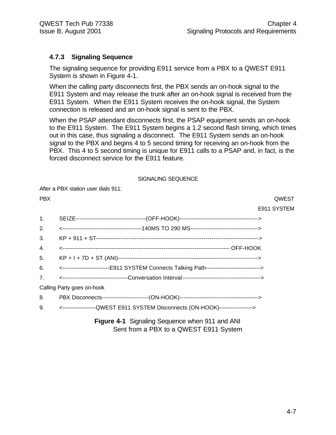#### **4.7.3 Signaling Sequence**

The signaling sequence for providing E911 service from a PBX to a QWEST E911 System is shown in Figure 4-1.

When the calling party disconnects first, the PBX sends an on-hook signal to the E911 System and may release the trunk after an on-hook signal is received from the E911 System. When the E911 System receives the on-hook signal, the System connection is released and an on-hook signal is sent to the PBX.

When the PSAP attendant disconnects first, the PSAP equipment sends an on-hook to the E911 System. The E911 System begins a 1.2 second flash timing, which times out in this case, thus signaling a disconnect. The E911 System sends an on-hook signal to the PBX and begins 4 to 5 second timing for receiving an on-hook from the PBX. This 4 to 5 second timing is unique for E911 calls to a PSAP and, in fact, is the forced disconnect service for the E911 feature.

#### SIGNALING SEQUENCE

After a PBX station user dials 911:

| <b>PBX</b>     | QWEST                                                                                  |
|----------------|----------------------------------------------------------------------------------------|
|                | E911 SYSTEM                                                                            |
| $\mathbf{1}$ . |                                                                                        |
| 2.             |                                                                                        |
| 3.             |                                                                                        |
| 4.             |                                                                                        |
| 5.             |                                                                                        |
| 6.             | <------------------------E911 SYSTEM Connects Talking Path---------------------------> |
| 7 <sub>1</sub> |                                                                                        |
|                | Calling Party goes on-hook                                                             |
| 8.             |                                                                                        |
| 9.             | <------------------QWEST E911 SYSTEM Disconnects (ON-HOOK)----------------->           |
|                |                                                                                        |

**Figure 4-1** Signaling Sequence when 911 and ANI Sent from a PBX to a QWEST E911 System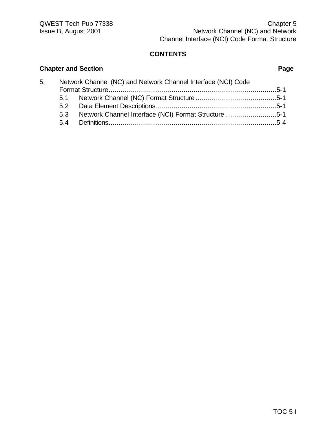# **Chapter and Section Page** 5. Network Channel (NC) and Network Channel Interface (NCI) Code Format Structure.....................................................................................5-1 5.1 Network Channel (NC) Format Structure.........................................5-1 5.2 Data Element Descriptions.............................................................5-1 5.3 Network Channel Interface (NCI) Format Structure ..........................5-1 5.4 Definitions.....................................................................................5-4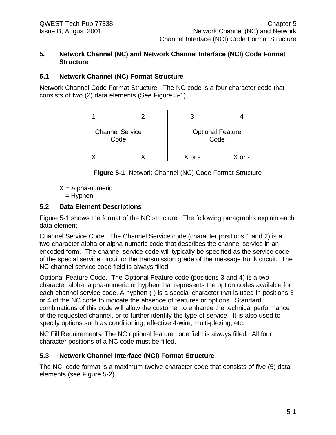#### **5. Network Channel (NC) and Network Channel Interface (NCI) Code Format Structure**

#### **5.1 Network Channel (NC) Format Structure**

Network Channel Code Format Structure. The NC code is a four-character code that consists of two (2) data elements (See Figure 5-1).

| <b>Channel Service</b><br>Code |  | <b>Optional Feature</b><br>Code |
|--------------------------------|--|---------------------------------|
|                                |  |                                 |

**Figure 5-1** Network Channel (NC) Code Format Structure

 $X =$  Alpha-numeric

 $-$  = Hyphen

#### **5.2 Data Element Descriptions**

Figure 5-1 shows the format of the NC structure. The following paragraphs explain each data element.

Channel Service Code. The Channel Service code (character positions 1 and 2) is a two-character alpha or alpha-numeric code that describes the channel service in an encoded form. The channel service code will typically be specified as the service code of the special service circuit or the transmission grade of the message trunk circuit. The NC channel service code field is always filled.

Optional Feature Code. The Optional Feature code (positions 3 and 4) is a twocharacter alpha, alpha-numeric or hyphen that represents the option codes available for each channel service code. A hyphen (-) is a special character that is used in positions 3 or 4 of the NC code to indicate the absence of features or options. Standard combinations of this code will allow the customer to enhance the technical performance of the requested channel, or to further identify the type of service. It is also used to specify options such as conditioning, effective 4-wire, multi-plexing, etc.

NC Fill Requirements. The NC optional feature code field is always filled. All four character positions of a NC code must be filled.

### **5.3 Network Channel Interface (NCI) Format Structure**

The NCI code format is a maximum twelve-character code that consists of five (5) data elements (see Figure 5-2).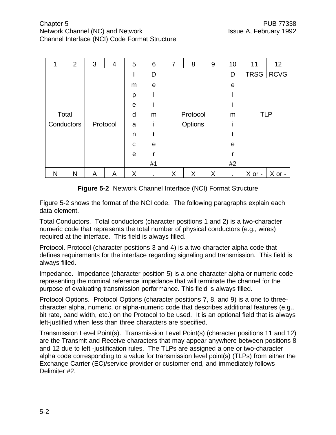|       | $\overline{2}$ | 3        | $\overline{4}$ | 5 | 6  | 7 | 8        | 9 | 10          | 11          | 12          |
|-------|----------------|----------|----------------|---|----|---|----------|---|-------------|-------------|-------------|
|       |                |          |                |   | D  |   |          |   | D           | <b>TRSG</b> | <b>RCVG</b> |
|       |                |          |                | m | e  |   |          |   | $\mathbf e$ |             |             |
|       |                |          |                | p |    |   |          |   |             |             |             |
|       |                |          |                | e |    |   |          |   |             |             |             |
| Total |                |          |                | d | m  |   | Protocol |   | m           | <b>TLP</b>  |             |
|       | Conductors     | Protocol |                | a |    |   | Options  |   |             |             |             |
|       |                |          |                | n |    |   |          |   |             |             |             |
|       |                |          |                | C | e  |   |          |   | e           |             |             |
|       |                |          |                | e | r  |   |          |   |             |             |             |
|       |                |          |                |   | #1 |   |          |   | #2          |             |             |
| N     | N              | A        | A              | X | ٠  | X | X        | X | ٠           | X or -      | X or -      |

**Figure 5-2** Network Channel Interface (NCI) Format Structure

Figure 5-2 shows the format of the NCI code. The following paragraphs explain each data element.

Total Conductors. Total conductors (character positions 1 and 2) is a two-character numeric code that represents the total number of physical conductors (e.g., wires) required at the interface. This field is always filled.

Protocol. Protocol (character positions 3 and 4) is a two-character alpha code that defines requirements for the interface regarding signaling and transmission. This field is always filled.

Impedance. Impedance (character position 5) is a one-character alpha or numeric code representing the nominal reference impedance that will terminate the channel for the purpose of evaluating transmission performance. This field is always filled.

Protocol Options. Protocol Options (character positions 7, 8, and 9) is a one to threecharacter alpha, numeric, or alpha-numeric code that describes additional features (e.g., bit rate, band width, etc.) on the Protocol to be used. It is an optional field that is always left-justified when less than three characters are specified.

Transmission Level Point(s). Transmission Level Point(s) (character positions 11 and 12) are the Transmit and Receive characters that may appear anywhere between positions 8 and 12 due to left -justification rules. The TLPs are assigned a one or two-character alpha code corresponding to a value for transmission level point(s) (TLPs) from either the Exchange Carrier (EC)/service provider or customer end, and immediately follows Delimiter #2.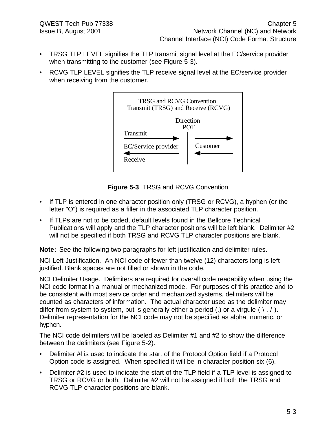- TRSG TLP LEVEL signifies the TLP transmit signal level at the EC/service provider when transmitting to the customer (see Figure 5-3).
- RCVG TLP LEVEL signifies the TLP receive signal level at the EC/service provider when receiving from the customer.



**Figure 5-3** TRSG and RCVG Convention

- If TLP is entered in one character position only (TRSG or RCVG), a hyphen (or the letter "O") is required as a filler in the associated TLP character position.
- If TLPs are not to be coded, default levels found in the Bellcore Technical Publications will apply and the TLP character positions will be left blank. Delimiter #2 will not be specified if both TRSG and RCVG TLP character positions are blank.

**Note:** See the following two paragraphs for left-justification and delimiter rules.

NCI Left Justification. An NCI code of fewer than twelve (12) characters long is leftjustified. Blank spaces are not filled or shown in the code.

NCI Delimiter Usage. Delimiters are required for overall code readability when using the NCI code format in a manual or mechanized mode. For purposes of this practice and to be consistent with most service order and mechanized systems, delimiters will be counted as characters of information. The actual character used as the delimiter may differ from system to system, but is generally either a period (.) or a virgule  $( \nabla, / \nabla)$ . Delimiter representation for the NCI code may not be specified as alpha, numeric, or hyphen.

The NCI code delimiters will be labeled as Delimiter #1 and #2 to show the difference between the delimiters (see Figure 5-2).

- Delimiter #I is used to indicate the start of the Protocol Option field if a Protocol Option code is assigned. When specified it will be in character position six (6).
- Delimiter #2 is used to indicate the start of the TLP field if a TLP level is assigned to TRSG or RCVG or both. Delimiter #2 will not be assigned if both the TRSG and RCVG TLP character positions are blank.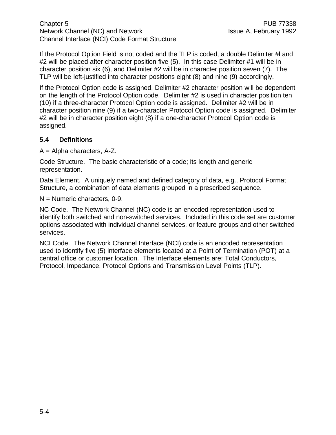Chapter 5 **PUB 77338** Network Channel (NC) and Network Issue A, February 1992 Channel Interface (NCI) Code Format Structure

If the Protocol Option Field is not coded and the TLP is coded, a double Delimiter #l and #2 will be placed after character position five (5). In this case Delimiter #1 will be in character position six (6), and Delimiter #2 will be in character position seven (7). The TLP will be left-justified into character positions eight (8) and nine (9) accordingly.

If the Protocol Option code is assigned, Delimiter #2 character position will be dependent on the length of the Protocol Option code. Delimiter #2 is used in character position ten (10) if a three-character Protocol Option code is assigned. Delimiter #2 will be in character position nine (9) if a two-character Protocol Option code is assigned. Delimiter #2 will be in character position eight (8) if a one-character Protocol Option code is assigned.

#### **5.4 Definitions**

A = Alpha characters, A-Z.

Code Structure. The basic characteristic of a code; its length and generic representation.

Data Element. A uniquely named and defined category of data, e.g., Protocol Format Structure, a combination of data elements grouped in a prescribed sequence.

N = Numeric characters, 0-9.

NC Code. The Network Channel (NC) code is an encoded representation used to identify both switched and non-switched services. Included in this code set are customer options associated with individual channel services, or feature groups and other switched services.

NCI Code. The Network Channel Interface (NCI) code is an encoded representation used to identify five (5) interface elements located at a Point of Termination (POT) at a central office or customer location. The Interface elements are: Total Conductors, Protocol, Impedance, Protocol Options and Transmission Level Points (TLP).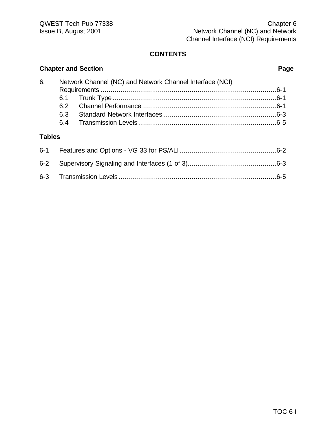|               |     | <b>Chapter and Section</b>                               | Page |
|---------------|-----|----------------------------------------------------------|------|
| 6.            |     | Network Channel (NC) and Network Channel Interface (NCI) |      |
|               |     |                                                          |      |
|               | 6.1 |                                                          |      |
|               | 6.2 |                                                          |      |
|               | 6.3 |                                                          |      |
|               | 6.4 |                                                          |      |
| <b>Tables</b> |     |                                                          |      |
| $6 - 1$       |     |                                                          |      |
| $6 - 2$       |     |                                                          |      |
| $6 - 3$       |     |                                                          |      |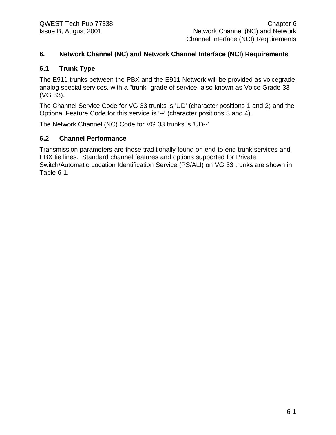#### **6. Network Channel (NC) and Network Channel Interface (NCI) Requirements**

#### **6.1 Trunk Type**

The E911 trunks between the PBX and the E911 Network will be provided as voicegrade analog special services, with a "trunk" grade of service, also known as Voice Grade 33 (VG 33).

The Channel Service Code for VG 33 trunks is 'UD' (character positions 1 and 2) and the Optional Feature Code for this service is '--' (character positions 3 and 4).

The Network Channel (NC) Code for VG 33 trunks is 'UD--'.

#### **6.2 Channel Performance**

Transmission parameters are those traditionally found on end-to-end trunk services and PBX tie lines. Standard channel features and options supported for Private Switch/Automatic Location Identification Service (PS/ALI) on VG 33 trunks are shown in Table 6-1.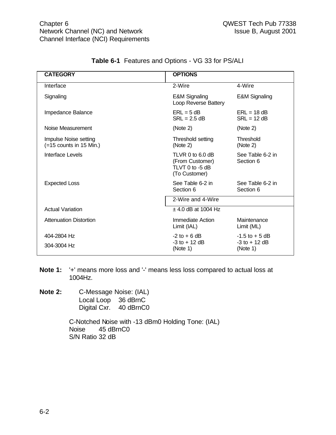| <b>CATEGORY</b>                                    | <b>OPTIONS</b>                                                            |                                                   |
|----------------------------------------------------|---------------------------------------------------------------------------|---------------------------------------------------|
| Interface                                          | 2-Wire                                                                    | 4-Wire                                            |
| Signaling                                          | <b>E&amp;M Signaling</b><br>Loop Reverse Battery                          | <b>E&amp;M Signaling</b>                          |
| Impedance Balance                                  | $ERL = 5 dB$<br>$SRL = 2.5 dB$                                            | $ERL = 18 dB$<br>$SRL = 12 dB$                    |
| Noise Measurement                                  | (Note 2)                                                                  | (Note 2)                                          |
| Impulse Noise setting<br>$(=15$ counts in 15 Min.) | Threshold setting<br>(Note 2)                                             | Threshold<br>(Note 2)                             |
| Interface Levels                                   | TLVR $0$ to 6.0 dB<br>(From Customer)<br>TLVT 0 to -5 dB<br>(To Customer) | See Table 6-2 in<br>Section 6                     |
| <b>Expected Loss</b>                               | See Table 6-2 in<br>Section 6                                             | See Table 6-2 in<br>Section 6                     |
|                                                    | 2-Wire and 4-Wire                                                         |                                                   |
| <b>Actual Variation</b>                            | $\pm$ 4.0 dB at 1004 Hz                                                   |                                                   |
| <b>Attenuation Distortion</b>                      | Immediate Action<br>Limit (IAL)                                           | Maintenance<br>Limit (ML)                         |
| 404-2804 Hz<br>304-3004 Hz                         | $-2$ to $+6$ dB<br>$-3$ to $+12$ dB<br>(Note 1)                           | $-1.5$ to $+5$ dB<br>$-3$ to $+12$ dB<br>(Note 1) |

#### **Table 6-1** Features and Options - VG 33 for PS/ALI

**Note 1:** '+' means more loss and '-' means less loss compared to actual loss at 1004Hz.

**Note 2:** C-Message Noise: (IAL) Local Loop 36 dBrnC Digital Cxr. 40 dBrnC0

> C-Notched Noise with -13 dBm0 Holding Tone: (IAL) Noise 45 dBrnC0 S/N Ratio 32 dB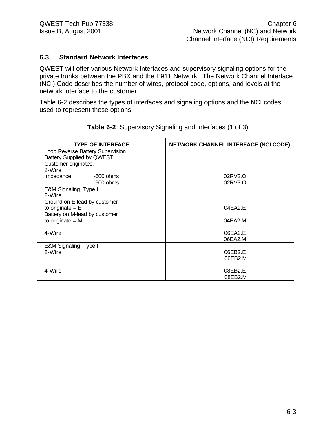#### **6.3 Standard Network Interfaces**

QWEST will offer various Network Interfaces and supervisory signaling options for the private trunks between the PBX and the E911 Network. The Network Channel Interface (NCI) Code describes the number of wires, protocol code, options, and levels at the network interface to the customer.

Table 6-2 describes the types of interfaces and signaling options and the NCI codes used to represent those options.

| <b>TYPE OF INTERFACE</b>         | <b>NETWORK CHANNEL INTERFACE (NCI CODE)</b> |
|----------------------------------|---------------------------------------------|
| Loop Reverse Battery Supervision |                                             |
| <b>Battery Supplied by QWEST</b> |                                             |
| Customer originates.             |                                             |
| 2-Wire                           |                                             |
| Impedance<br>$-600$ ohms         | 02RV2.O                                     |
| $-900$ ohms                      | 02RV3.O                                     |
| E&M Signaling, Type I            |                                             |
| 2-Wire                           |                                             |
| Ground on E-lead by customer     |                                             |
| to originate $=$ $E$             | 04EA2E                                      |
| Battery on M-lead by customer    |                                             |
| to originate $= M$               | 04EA2.M                                     |
| 4-Wire                           | 06EA2.E                                     |
|                                  | 06EA2.M                                     |
| E&M Signaling, Type II           |                                             |
| 2-Wire                           | 06EB2.E                                     |
|                                  | 06EB2.M                                     |
|                                  |                                             |
| 4-Wire                           | 08EB2.E                                     |
|                                  | 08EB2.M                                     |

**Table 6-2** Supervisory Signaling and Interfaces (1 of 3)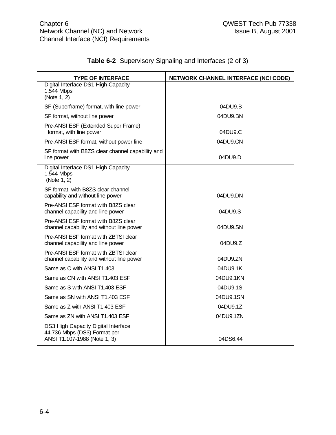| <b>TYPE OF INTERFACE</b>                                                                            | NETWORK CHANNEL INTERFACE (NCI CODE) |
|-----------------------------------------------------------------------------------------------------|--------------------------------------|
| Digital Interface DS1 High Capacity<br>1.544 Mbps<br>(Note 1, 2)                                    |                                      |
| SF (Superframe) format, with line power                                                             | 04DU9.B                              |
| SF format, without line power                                                                       | 04DU9.BN                             |
| Pre-ANSI ESF (Extended Super Frame)<br>format, with line power                                      | 04DU9.C                              |
| Pre-ANSI ESF format, without power line                                                             | 04DU9.CN                             |
| SF format with B8ZS clear channel capability and<br>line power                                      | 04DU9.D                              |
| Digital Interface DS1 High Capacity<br>1.544 Mbps<br>(Note 1, 2)                                    |                                      |
| SF format, with B8ZS clear channel<br>capability and without line power                             | 04DU9.DN                             |
| Pre-ANSI ESF format with B8ZS clear<br>channel capability and line power                            | 04DU9.S                              |
| Pre-ANSI ESF format with B8ZS clear<br>channel capability and without line power                    | 04DU9.SN                             |
| Pre-ANSI ESF format with ZBTSI clear<br>channel capability and line power                           | 04DU9.Z                              |
| Pre-ANSI ESF format with ZBTSI clear<br>channel capability and without line power                   | 04DU9.ZN                             |
| Same as C with ANSI T1.403                                                                          | 04DU9.1K                             |
| Same as CN with ANSI T1.403 ESF                                                                     | 04DU9.1KN                            |
| Same as S with ANSI T1.403 ESF                                                                      | 04DU9.1S                             |
| Same as SN with ANSI T1.403 ESF                                                                     | 04DU9.1SN                            |
| Same as Z with ANSI T1.403 ESF                                                                      | 04DU9.1Z                             |
| Same as ZN with ANSI T1.403 ESF                                                                     | 04DU9.1ZN                            |
| DS3 High Capacity Digital Interface<br>44.736 Mbps (DS3) Format per<br>ANSI T1.107-1988 (Note 1, 3) | 04DS6.44                             |

# **Table 6-2** Supervisory Signaling and Interfaces (2 of 3)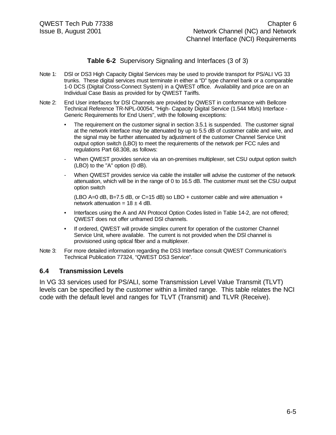#### **Table 6-2** Supervisory Signaling and Interfaces (3 of 3)

- Note 1: DSl or DS3 High Capacity Digital Services may be used to provide transport for PS/ALI VG 33 trunks. These digital services must terminate in either a "D" type channel bank or a comparable 1-0 DCS (Digital Cross-Connect System) in a QWEST office. Availability and price are on an Individual Case Basis as provided for by QWEST Tariffs.
- Note 2: End User interfaces for DSl Channels are provided by QWEST in conformance with Bellcore Technical Reference TR-NPL-00054, "High- Capacity Digital Service (1.544 Mb/s) Interface - Generic Requirements for End Users", with the following exceptions:
	- The requirement on the customer signal in section 3.5.1 is suspended. The customer signal at the network interface may be attenuated by up to 5.5 dB of customer cable and wire, and the signal may be further attenuated by adjustment of the customer Channel Service Unit output option switch (LBO) to meet the requirements of the network per FCC rules and regulations Part 68.308, as follows:
	- When QWEST provides service via an on-premises multiplexer, set CSU output option switch (LBO) to the "A" option (0 dB).
	- When QWEST provides service via cable the installer will advise the customer of the network attenuation, which will be in the range of 0 to 16.5 dB. The customer must set the CSU output option switch

(LBO A=0 dB, B=7.5 dB, or C=15 dB) so LBO + customer cable and wire attenuation + network attenuation =  $18 \pm 4$  dB.

- Interfaces using the A and AN Protocol Option Codes listed in Table 14-2, are not offered; QWEST does not offer unframed DSl channels.
- If ordered, QWEST will provide simplex current for operation of the customer Channel Service Unit, where available. The current is not provided when the DSl channel is provisioned using optical fiber and a multiplexer.
- Note 3: For more detailed information regarding the DS3 Interface consult QWEST Communication's Technical Publication 77324, "QWEST DS3 Service".

#### **6.4 Transmission Levels**

In VG 33 services used for PS/ALI, some Transmission Level Value Transmit (TLVT) levels can be specified by the customer within a limited range. This table relates the NCI code with the default level and ranges for TLVT (Transmit) and TLVR (Receive).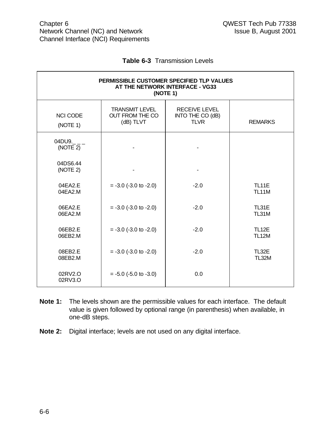|  | <b>Table 6-3</b> Transmission Levels |  |
|--|--------------------------------------|--|
|--|--------------------------------------|--|

| PERMISSIBLE CUSTOMER SPECIFIED TLP VALUES<br>AT THE NETWORK INTERFACE - VG33<br>(NOTE 1) |                                                       |                                                         |                              |  |
|------------------------------------------------------------------------------------------|-------------------------------------------------------|---------------------------------------------------------|------------------------------|--|
| <b>NCI CODE</b><br>(NOTE 1)                                                              | <b>TRANSMIT LEVEL</b><br>OUT FROM THE CO<br>(dB) TLVT | <b>RECEIVE LEVEL</b><br>INTO THE CO (dB)<br><b>TLVR</b> | <b>REMARKS</b>               |  |
| $04DU9.$ _ _ _<br>(NOTE 2)                                                               |                                                       |                                                         |                              |  |
| 04DS6.44<br>(NOTE 2)                                                                     |                                                       |                                                         |                              |  |
| 04EA2.E<br>04EA2.M                                                                       | $= -3.0$ ( $-3.0$ to $-2.0$ )                         | $-2.0$                                                  | <b>TL11E</b><br><b>TL11M</b> |  |
| 06EA2.E<br>06EA2.M                                                                       | $= -3.0$ ( $-3.0$ to $-2.0$ )                         | $-2.0$                                                  | TL31E<br>TL31M               |  |
| 06EB2.E<br>06EB2.M                                                                       | $= -3.0$ ( $-3.0$ to $-2.0$ )                         | $-2.0$                                                  | <b>TL12E</b><br><b>TL12M</b> |  |
| 08EB2.E<br>08EB2.M                                                                       | $= -3.0$ ( $-3.0$ to $-2.0$ )                         | $-2.0$                                                  | TL32E<br><b>TL32M</b>        |  |
| 02RV2.O<br>02RV3.O                                                                       | $= -5.0$ ( $-5.0$ to $-3.0$ )                         | 0.0                                                     |                              |  |

- **Note 1:** The levels shown are the permissible values for each interface. The default value is given followed by optional range (in parenthesis) when available, in one-dB steps.
- **Note 2:** Digital interface; levels are not used on any digital interface.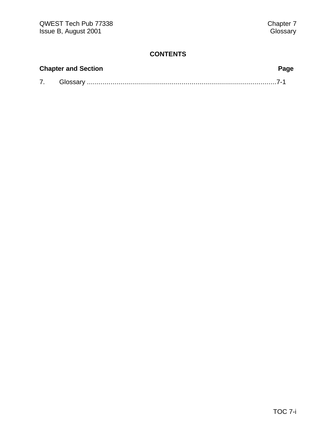| <b>Chapter and Section</b> | Page |
|----------------------------|------|
| Glossarv                   |      |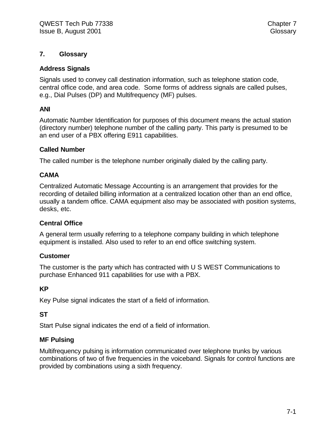#### **7. Glossary**

#### **Address Signals**

Signals used to convey call destination information, such as telephone station code, central office code, and area code. Some forms of address signals are called pulses, e.g., Dial Pulses (DP) and Multifrequency (MF) pulses.

#### **ANI**

Automatic Number Identification for purposes of this document means the actual station (directory number) telephone number of the calling party. This party is presumed to be an end user of a PBX offering E911 capabilities.

#### **Called Number**

The called number is the telephone number originally dialed by the calling party.

#### **CAMA**

Centralized Automatic Message Accounting is an arrangement that provides for the recording of detailed billing information at a centralized location other than an end office, usually a tandem office. CAMA equipment also may be associated with position systems, desks, etc.

#### **Central Office**

A general term usually referring to a telephone company building in which telephone equipment is installed. Also used to refer to an end office switching system.

#### **Customer**

The customer is the party which has contracted with U S WEST Communications to purchase Enhanced 911 capabilities for use with a PBX.

#### **KP**

Key Pulse signal indicates the start of a field of information.

#### **ST**

Start Pulse signal indicates the end of a field of information.

#### **MF Pulsing**

Multifrequency pulsing is information communicated over telephone trunks by various combinations of two of five frequencies in the voiceband. Signals for control functions are provided by combinations using a sixth frequency.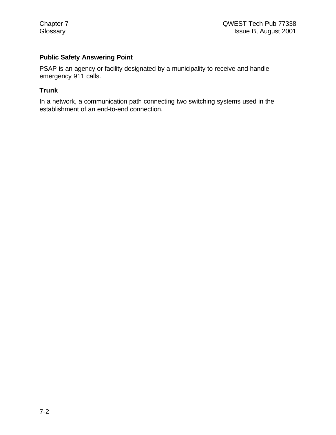#### **Public Safety Answering Point**

PSAP is an agency or facility designated by a municipality to receive and handle emergency 911 calls.

#### **Trunk**

In a network, a communication path connecting two switching systems used in the establishment of an end-to-end connection.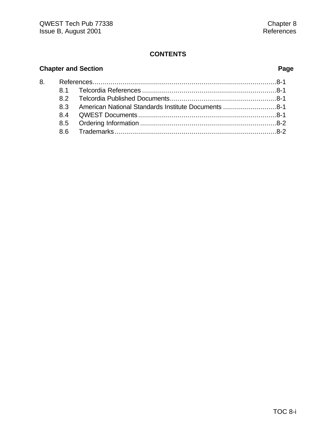# **Chapter and Section Page**

|  | 8.3 American National Standards Institute Documents 8-1 |  |
|--|---------------------------------------------------------|--|
|  |                                                         |  |
|  |                                                         |  |
|  |                                                         |  |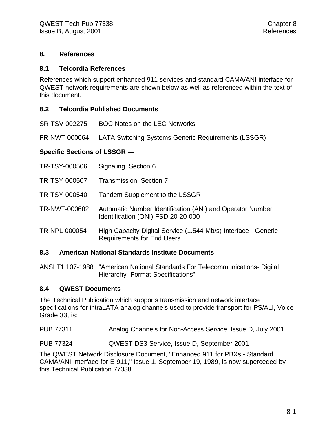#### **8. References**

#### **8.1 Telcordia References**

References which support enhanced 911 services and standard CAMA/ANI interface for QWEST network requirements are shown below as well as referenced within the text of this document.

#### **8.2 Telcordia Published Documents**

SR-TSV-002275 BOC Notes on the LEC Networks

FR-NWT-000064 LATA Switching Systems Generic Requirements (LSSGR)

#### **Specific Sections of LSSGR —**

| TR-TSY-000506 | Signaling, Section 6                                                                                |
|---------------|-----------------------------------------------------------------------------------------------------|
| TR-TSY-000507 | Transmission, Section 7                                                                             |
| TR-TSY-000540 | Tandem Supplement to the LSSGR                                                                      |
| TR-NWT-000682 | Automatic Number Identification (ANI) and Operator Number<br>Identification (ONI) FSD 20-20-000     |
| TR-NPL-000054 | High Capacity Digital Service (1.544 Mb/s) Interface - Generic<br><b>Requirements for End Users</b> |

#### **8.3 American National Standards Institute Documents**

ANSI T1.107-1988 "American National Standards For Telecommunications- Digital Hierarchy -Format Specifications"

#### **8.4 QWEST Documents**

The Technical Publication which supports transmission and network interface specifications for intraLATA analog channels used to provide transport for PS/ALI, Voice Grade 33, is:

PUB 77311 Analog Channels for Non-Access Service, Issue D, July 2001

PUB 77324 QWEST DS3 Service, Issue D, September 2001

The QWEST Network Disclosure Document, "Enhanced 911 for PBXs - Standard CAMA/ANI Interface for E-911," Issue 1, September 19, 1989, is now superceded by this Technical Publication 77338.